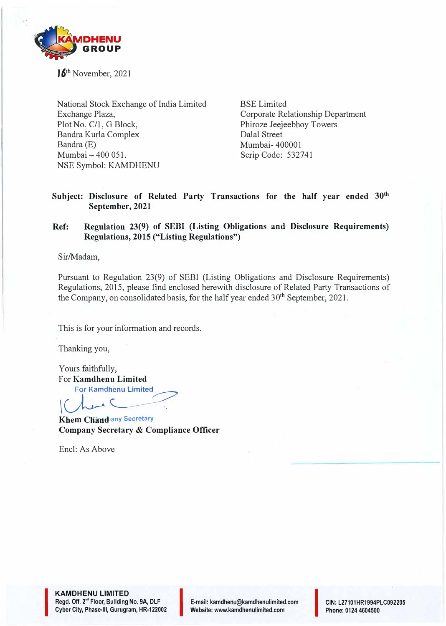

**16th** November, 2021

National Stock Exchange of India Limited Exchange Plaza, Plot No. C/1, G Block, Bandra Kurla Complex Bandra (E) Mumbai - 400 051. NSE Symbol: KAMDHENU

BSE Limited Corporate Relationship Department Phiroze Jeejeebhoy Towers Dalal Street Mumbai- 400001 Scrip Code: 532741

## Subject: Disclosure of Related Party Transactions for the half year ended 30<sup>th</sup> **September, 2021**

## **Ref: Regulation 23(9) of SEBI (Listing Obligations and Disclosure Requirements) Regulations, 2015 ("Listing Regulations")**

Sir/Madam,

Pursuant to Regulation 23(9) of SEBI (Listing Obligations and Disclosure Requirements) Regulations, 2015, please find enclosed herewith disclosure of Related Party Transactions of the Company, on consolidated basis, for the half year ended  $30<sup>th</sup>$  September, 2021.

This is for your information and records.

Thanking you,

Yours faithfully, For **Kamdhenu Limited** 

**For Kamdhenu Limited** 

 $V^{\prime\prime}$ *<u></u>*  $\sim$  *<sup>2</sup>* **Khem Chandlany Secretary Company Secretary & Compliance Officer** 

Encl: As Above

**KAMDHENU LIMITED Regd. Off. 2<sup>n</sup> ' Floor,** Building **No. 9A, DLF KAMDHENU LIMITED<br>Regd. Off. 2<sup>nd</sup> Floor, Building No. 9A, DLF<br>Cyber City, Phase-III, Gurugram, HR-122002** 

I

E-mail: kamdhenu@kamdhenulimited.com E-mail: kamdhenu@kamdhenulimited.com<br>Website: www.kamdhenulimited.com

**CIN:** L27101HR1994PLC092205 Phone: 0124 4604500